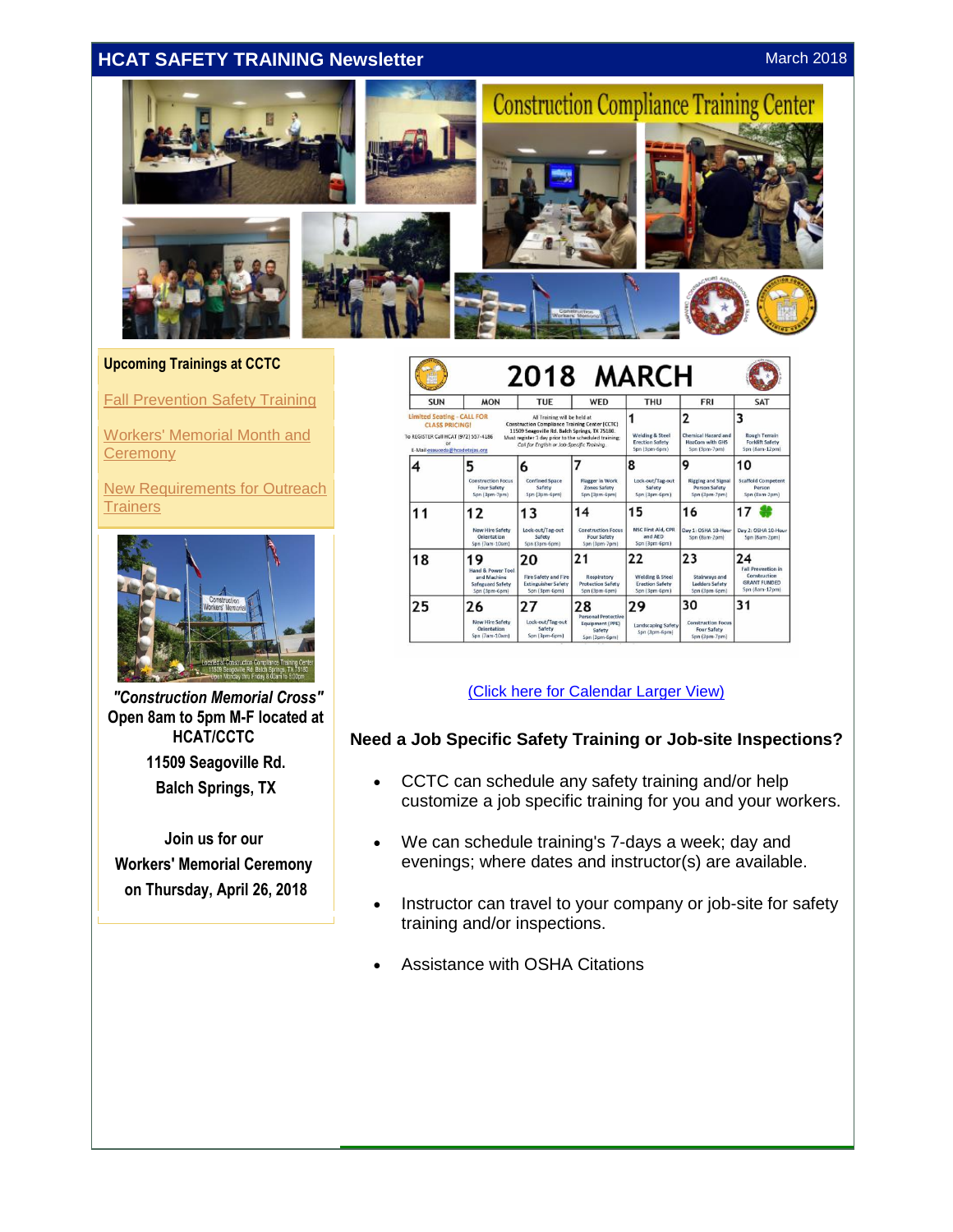# <span id="page-0-0"></span>**HCAT SAFETY TRAINING Newsletter** March 2018 March 2018



#### **Upcoming Trainings at CCTC**

[Fall Prevention Safety Training](#page-0-0)

[Workers' Memorial Month and](#page-1-0)  **Ceremony** 

[New Requirements for Outreach](#page-2-0)  **[Trainers](#page-2-0)** 



*"Construction Memorial Cross"* **Open 8am to 5pm M-F located at HCAT/CCTC 11509 Seagoville Rd. Balch Springs, TX**

**Join us for our Workers' Memorial Ceremony on Thursday, April 26, 2018**

| <b>SUN</b>                                                                                                                                                                                                                                                                                                                                                                           | <b>MON</b>                                                                            | <b>TUE</b>                                                                       | WED                                                                            | <b>THU</b>                                                                  | <b>FRI</b>                                                                 | <b>SAT</b>                                                                               |
|--------------------------------------------------------------------------------------------------------------------------------------------------------------------------------------------------------------------------------------------------------------------------------------------------------------------------------------------------------------------------------------|---------------------------------------------------------------------------------------|----------------------------------------------------------------------------------|--------------------------------------------------------------------------------|-----------------------------------------------------------------------------|----------------------------------------------------------------------------|------------------------------------------------------------------------------------------|
| <b>Limited Seating - CALL FOR</b><br>All Training will be held at<br><b>Construction Compliance Training Center (CCTC)</b><br><b>CLASS PRICING!</b><br>11509 Seagoville Rd. Balch Springs. TX 75180.<br>To REGISTER Call HCAT (972) 557-4186<br>Must register 1 day prior to the scheduled training;<br>Call for English or Job-Specific Training.<br>E-Mail esauceda@hcadetejas.org |                                                                                       |                                                                                  |                                                                                | <b>Welding &amp; Steel</b><br><b>Erection Safety</b><br>Spn (3pm-6pm)       | 2<br><b>Chemical Hazard and</b><br><b>HazCom with GHS</b><br>Spn (3pm-7pm) | 3<br><b>Rough Terrain</b><br><b>Forklift Safety</b><br>Spn (8am-12pm)                    |
|                                                                                                                                                                                                                                                                                                                                                                                      | 5<br><b>Construction Focus</b><br><b>Four Safety</b><br>Spn (3pm-7pm)                 | 6<br><b>Confined Space</b><br>Safety<br>Spn (3pm-6pm)                            | <b>Flagger in Work</b><br><b>Zones Safety</b><br>Spn (3pm-6pm)                 | 8<br>Lock-out/Tag-out<br>Safety<br>Spn (3pm-6pm)                            | 9<br><b>Rigging and Signal</b><br><b>Person Safety</b><br>Spn (3pm-7pm)    | 10<br><b>Scaffold Competent</b><br>Person<br>Spn (8am-2pm)                               |
| 11                                                                                                                                                                                                                                                                                                                                                                                   | 12<br><b>New Hire Safety</b><br>Orientation<br>Spn (7am-10am)                         | 13<br>Lock-out/Tag-out<br>Safety<br>Spn (3pm-6pm)                                | 14<br><b>Construction Focus</b><br>Four Safety<br>Spn (3pm-7pm)                | 15<br><b>NSC First Ald, CPR</b><br>and AED<br>Spn (3pm-6pm)                 | 16<br>Day 1: OSHA 10-Hour<br>Spn (8am-2pm)                                 | 17<br>Day 2: OSHA 10-Hour<br>Spn (8am-2pm)                                               |
| 18                                                                                                                                                                                                                                                                                                                                                                                   | 9<br><b>Hand &amp; Power Tool</b><br>and Machine<br>Safeguard Safety<br>Spn (3pm-6pm) | 20<br><b>Fire Safety and Fire</b><br><b>Extinguisher Safety</b><br>Spn (3pm-6pm) | 21<br>Respiratory<br><b>Protection Safety</b><br>Spn (3pm-6pm)                 | 22<br><b>Welding &amp; Steel</b><br><b>Erection Safety</b><br>Spn (3pm-6pm) | 23<br>Stairways and<br><b>Ladders Safety</b><br>Spn (3pm-6pm)              | 24<br><b>Fall Prevention in</b><br>Construction<br><b>GRANT FUNDED</b><br>Spn (8am-12pm) |
| 25                                                                                                                                                                                                                                                                                                                                                                                   | 26<br><b>New Hire Safety</b><br>Orientation<br>Spn (7am-10am)                         | 27<br>Lock-out/Tag-out<br>Safety<br>Spn (3pm-6pm)                                | 28<br><b>Personal Protective</b><br>Equipment (PPE)<br>Safety<br>Spn (3pm-6pm) | 29<br><b>Landscaping Safety</b><br>Spn (3pm-6pm)                            | 30<br><b>Construction Focus</b><br><b>Four Safety</b><br>Spn (3pm-7pm)     | 31                                                                                       |

#### [\(Click here for Calendar Larger View\)](http://r20.rs6.net/tn.jsp?f=001C029kmFLQL8MWxlNszyMbySXgqUrzUC2s8jDZC1oXwTv7HY5jDsK0FMl_tPc_LG-kJdJgy3BkonOf1OnsPixe7PO2LJ5DxB0KK2uKX2463Vc-JZRhdKZ_3mgE5ZToK5hb4qFxVHDaRWWCIK6sppADBvpsd9GG1qXnVroqyyw7dN-_xByF0eJwZDY3clZ5YA63b7wTbUuYGwLXasJ28pbJbdPQY5q4SJWobQpjua4obbo_j-Poiyl0G3fmCNovMzO&c=j0IHcvKLsWKvG-N_1GwKjNMydU5GVjjaqvcUQZBFrYnt7iVbbrh4hw==&ch=7z8qnrwJEJDauVKh_TRIYVCVEzR6k5ydUH9Hxytl_gdZ4RGrqKBIDw==)

#### **Need a Job Specific Safety Training or Job-site Inspections?**

- CCTC can schedule any safety training and/or help customize a job specific training for you and your workers.
- We can schedule training's 7-days a week; day and evenings; where dates and instructor(s) are available.
- Instructor can travel to your company or job-site for safety training and/or inspections.
- Assistance with OSHA Citations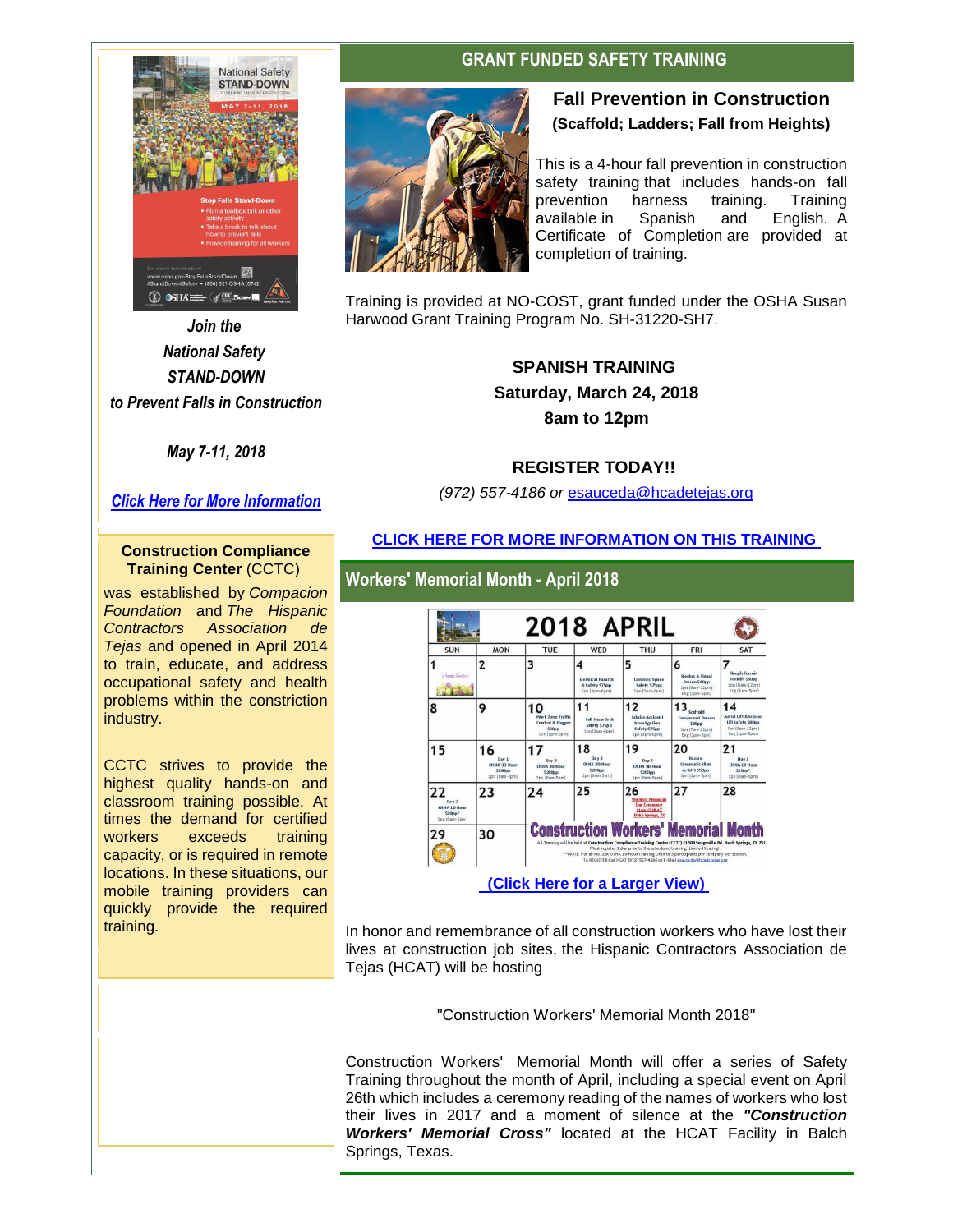<span id="page-1-0"></span>

*Join the National Safety STAND-DOWN to Prevent Falls in Construction*

*May 7-11, 2018*

*[Click Here for More Information](http://r20.rs6.net/tn.jsp?f=001C029kmFLQL8MWxlNszyMbySXgqUrzUC2s8jDZC1oXwTv7HY5jDsK0GCwVw4TaFVgvZHKnjd5jgWK8FkQ4o-5LBpnsCOsA5LIS7cGJplL2WKmQgIquvab4anCTSG_V0NFXwzGdOh_MMeQLSHygfFGI3omtYje7eA9fDXzet6XoxoW9oTMq5Cyvd4_8-oG6X0gMuSkT6LESMJR-NrrzeQ-aw==&c=j0IHcvKLsWKvG-N_1GwKjNMydU5GVjjaqvcUQZBFrYnt7iVbbrh4hw==&ch=7z8qnrwJEJDauVKh_TRIYVCVEzR6k5ydUH9Hxytl_gdZ4RGrqKBIDw==)*

#### **Construction Compliance Training Center** (CCTC)

was established by *Compacion Foundation* and *The Hispanic Contractors Association de Tejas* and opened in April 2014 to train, educate, and address occupational safety and health problems within the constriction industry.

CCTC strives to provide the highest quality hands-on and classroom training possible. At times the demand for certified workers exceeds training capacity, or is required in remote locations. In these situations, our mobile training providers can quickly provide the required training.

## **GRANT FUNDED SAFETY TRAINING**



## **Fall Prevention in Construction (Scaffold; Ladders; Fall from Heights)**

This is a 4-hour fall prevention in construction safety training that includes hands-on fall prevention harness training. Training available in Spanish and English. A Certificate of Completion are provided at completion of training.

Training is provided at NO-COST, grant funded under the OSHA Susan Harwood Grant Training Program No. SH-31220-SH7.

> **SPANISH TRAINING Saturday, March 24, 2018 8am to 12pm**

### **REGISTER TODAY!!**

*(972) 557-4186 or* [esauceda@hcadetejas.org](mailto:esauceda@hcadetejas.org)

### **[CLICK HERE FOR MORE](http://r20.rs6.net/tn.jsp?f=001C029kmFLQL8MWxlNszyMbySXgqUrzUC2s8jDZC1oXwTv7HY5jDsK0FMl_tPc_LG-eIhvUxeCLK9zaAQLECIstmitK48736G_rqU_grdEaWWKt0W0vNhvsk69M4MUrP4gt2yQbZIpe8CAoqzjhEX7RyGhEL3eImgvneCow8S9WGIWtbXM8pAkC_2itf4sSqOjBgWDvdrUvQZifmEidTxyn_qT_cTdrREIMe8PHgOLlcvpl7JT_EzpoZCIlJ8xx0Hw&c=j0IHcvKLsWKvG-N_1GwKjNMydU5GVjjaqvcUQZBFrYnt7iVbbrh4hw==&ch=7z8qnrwJEJDauVKh_TRIYVCVEzR6k5ydUH9Hxytl_gdZ4RGrqKBIDw==) INFORMATION ON THIS TRAINING**



In honor and remembrance of all construction workers who have lost their lives at construction job sites, the Hispanic Contractors Association de Tejas (HCAT) will be hosting

"Construction Workers' Memorial Month 2018"

Construction Workers' Memorial Month will offer a series of Safety Training throughout the month of April, including a special event on April 26th which includes a ceremony reading of the names of workers who lost their lives in 2017 and a moment of silence at the *"Construction Workers' Memorial Cross"* located at the HCAT Facility in Balch Springs, Texas.